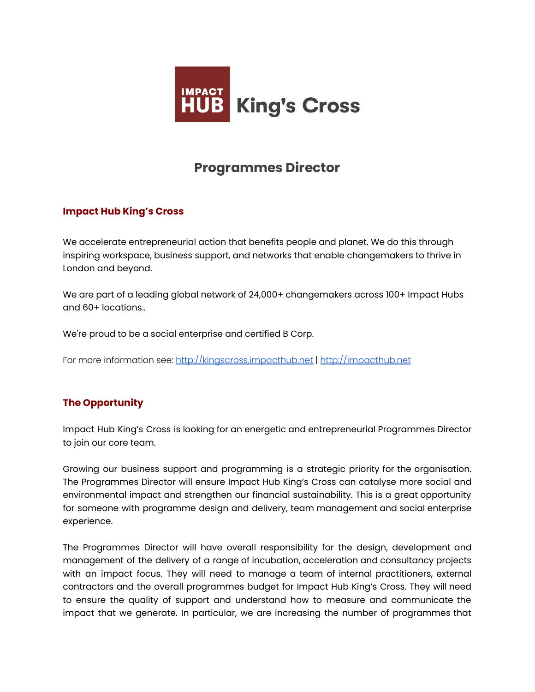

# **Programmes Director**

## **Impact Hub King's Cross**

We accelerate entrepreneurial action that benefits people and planet. We do this through inspiring workspace, business support, and networks that enable changemakers to thrive in London and beyond.

We are part of a leading global network of 24,000+ changemakers across 100+ Impact Hubs and 60+ locations..

We're proud to be a social enterprise and certified B Corp.

For more information see: <http://kingscross.impacthub.net> | <http://impacthub.net>

## **The Opportunity**

Impact Hub King's Cross is looking for an energetic and entrepreneurial Programmes Director to join our core team.

Growing our business support and programming is a strategic priority for the organisation. The Programmes Director will ensure Impact Hub King's Cross can catalyse more social and environmental impact and strengthen our financial sustainability. This is a great opportunity for someone with programme design and delivery, team management and social enterprise experience.

The Programmes Director will have overall responsibility for the design, development and management of the delivery of a range of incubation, acceleration and consultancy projects with an impact focus. They will need to manage a team of internal practitioners, external contractors and the overall programmes budget for Impact Hub King's Cross. They will need to ensure the quality of support and understand how to measure and communicate the impact that we generate. In particular, we are increasing the number of programmes that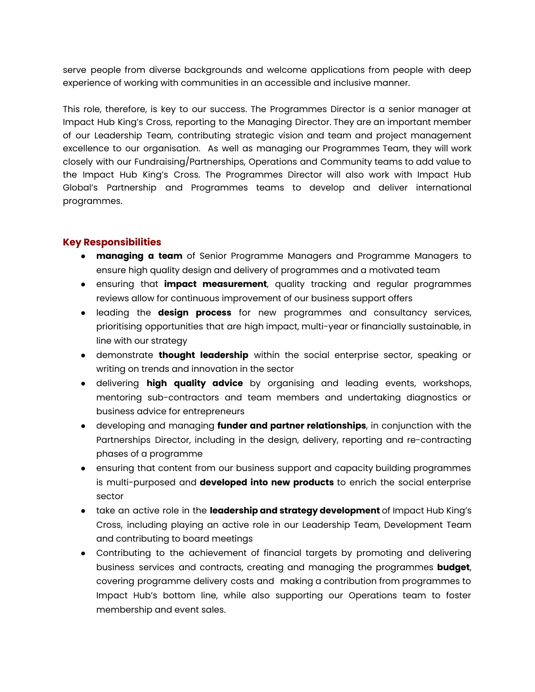serve people from diverse backgrounds and welcome applications from people with deep experience of working with communities in an accessible and inclusive manner.

This role, therefore, is key to our success. The Programmes Director is a senior manager at Impact Hub King's Cross, reporting to the Managing Director. They are an important member of our Leadership Team, contributing strategic vision and team and project management excellence to our organisation. As well as managing our Programmes Team, they will work closely with our Fundraising/Partnerships, Operations and Community teams to add value to the Impact Hub King's Cross. The Programmes Director will also work with Impact Hub Global's Partnership and Programmes teams to develop and deliver international programmes.

#### **Key Responsibilities**

- **managing a team** of Senior Programme Managers and Programme Managers to ensure high quality design and delivery of programmes and a motivated team
- ensuring that **impact measurement**, quality tracking and regular programmes reviews allow for continuous improvement of our business support offers
- leading the **design process** for new programmes and consultancy services, prioritising opportunities that are high impact, multi-year or financially sustainable, in line with our strategy
- demonstrate **thought leadership** within the social enterprise sector, speaking or writing on trends and innovation in the sector
- delivering **high quality advice** by organising and leading events, workshops, mentoring sub-contractors and team members and undertaking diagnostics or business advice for entrepreneurs
- developing and managing **funder and partner relationships**, in conjunction with the Partnerships Director, including in the design, delivery, reporting and re-contracting phases of a programme
- ensuring that content from our business support and capacity building programmes is multi-purposed and **developed into new products** to enrich the social enterprise sector
- take an active role in the **leadership and strategy development** of Impact Hub King's Cross, including playing an active role in our Leadership Team, Development Team and contributing to board meetings
- Contributing to the achievement of financial targets by promoting and delivering business services and contracts, creating and managing the programmes **budget**, covering programme delivery costs and making a contribution from programmes to Impact Hub's bottom line, while also supporting our Operations team to foster membership and event sales.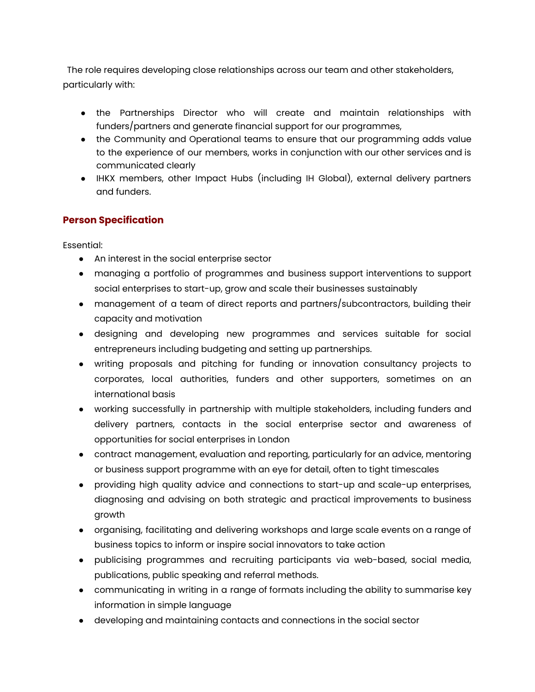The role requires developing close relationships across our team and other stakeholders, particularly with:

- the Partnerships Director who will create and maintain relationships with funders/partners and generate financial support for our programmes,
- the Community and Operational teams to ensure that our programming adds value to the experience of our members, works in conjunction with our other services and is communicated clearly
- IHKX members, other Impact Hubs (including IH Global), external delivery partners and funders.

## **Person Specification**

Essential:

- An interest in the social enterprise sector
- managing a portfolio of programmes and business support interventions to support social enterprises to start-up, grow and scale their businesses sustainably
- management of a team of direct reports and partners/subcontractors, building their capacity and motivation
- designing and developing new programmes and services suitable for social entrepreneurs including budgeting and setting up partnerships.
- writing proposals and pitching for funding or innovation consultancy projects to corporates, local authorities, funders and other supporters, sometimes on an international basis
- working successfully in partnership with multiple stakeholders, including funders and delivery partners, contacts in the social enterprise sector and awareness of opportunities for social enterprises in London
- contract management, evaluation and reporting, particularly for an advice, mentoring or business support programme with an eye for detail, often to tight timescales
- providing high quality advice and connections to start-up and scale-up enterprises, diagnosing and advising on both strategic and practical improvements to business growth
- organising, facilitating and delivering workshops and large scale events on a range of business topics to inform or inspire social innovators to take action
- publicising programmes and recruiting participants via web-based, social media, publications, public speaking and referral methods.
- communicating in writing in a range of formats including the ability to summarise key information in simple language
- developing and maintaining contacts and connections in the social sector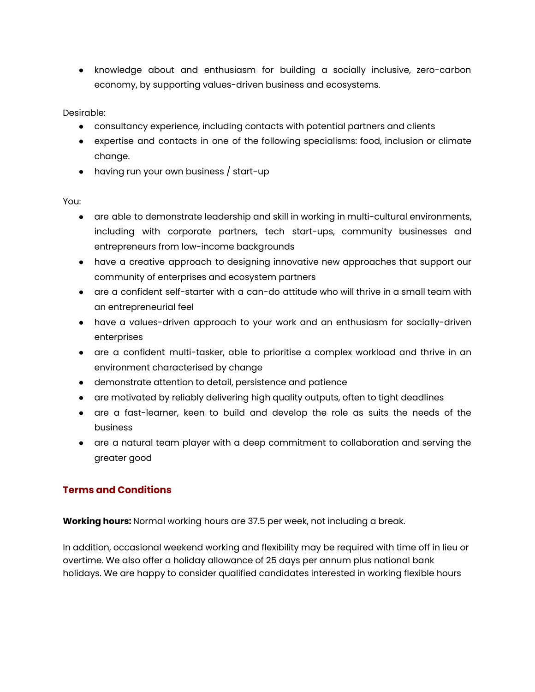● knowledge about and enthusiasm for building a socially inclusive, zero-carbon economy, by supporting values-driven business and ecosystems.

Desirable:

- consultancy experience, including contacts with potential partners and clients
- expertise and contacts in one of the following specialisms: food, inclusion or climate change.
- having run your own business / start-up

You:

- are able to demonstrate leadership and skill in working in multi-cultural environments, including with corporate partners, tech start-ups, community businesses and entrepreneurs from low-income backgrounds
- have a creative approach to designing innovative new approaches that support our community of enterprises and ecosystem partners
- are a confident self-starter with a can-do attitude who will thrive in a small team with an entrepreneurial feel
- have a values-driven approach to your work and an enthusiasm for socially-driven enterprises
- are a confident multi-tasker, able to prioritise a complex workload and thrive in an environment characterised by change
- demonstrate attention to detail, persistence and patience
- are motivated by reliably delivering high quality outputs, often to tight deadlines
- are a fast-learner, keen to build and develop the role as suits the needs of the business
- are a natural team player with a deep commitment to collaboration and serving the greater good

## **Terms and Conditions**

**Working hours:** Normal working hours are 37.5 per week, not including a break.

In addition, occasional weekend working and flexibility may be required with time off in lieu or overtime. We also offer a holiday allowance of 25 days per annum plus national bank holidays. We are happy to consider qualified candidates interested in working flexible hours